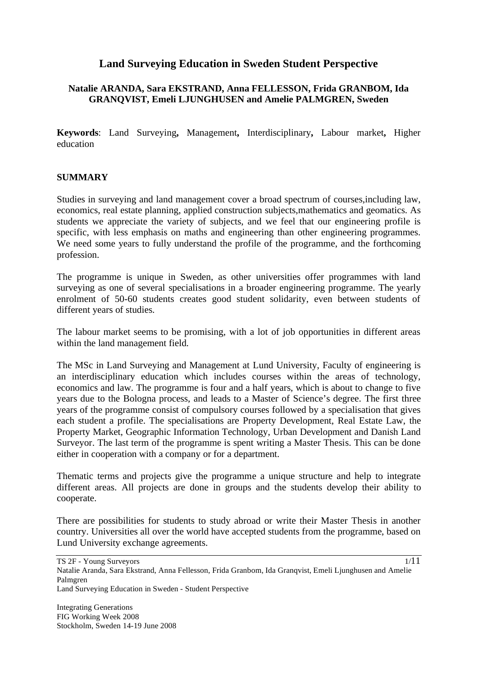# **Land Surveying Education in Sweden Student Perspective**

# **Natalie ARANDA, Sara EKSTRAND, Anna FELLESSON, Frida GRANBOM, Ida GRANQVIST, Emeli LJUNGHUSEN and Amelie PALMGREN, Sweden**

**Keywords**: Land Surveying**,** Management**,** Interdisciplinary**,** Labour market**,** Higher education

### **SUMMARY**

Studies in surveying and land management cover a broad spectrum of courses,including law, economics, real estate planning, applied construction subjects,mathematics and geomatics. As students we appreciate the variety of subjects, and we feel that our engineering profile is specific, with less emphasis on maths and engineering than other engineering programmes. We need some years to fully understand the profile of the programme, and the forthcoming profession.

The programme is unique in Sweden, as other universities offer programmes with land surveying as one of several specialisations in a broader engineering programme. The yearly enrolment of 50-60 students creates good student solidarity, even between students of different years of studies.

The labour market seems to be promising, with a lot of job opportunities in different areas within the land management field.

The MSc in Land Surveying and Management at Lund University, Faculty of engineering is an interdisciplinary education which includes courses within the areas of technology, economics and law. The programme is four and a half years, which is about to change to five years due to the Bologna process, and leads to a Master of Science's degree. The first three years of the programme consist of compulsory courses followed by a specialisation that gives each student a profile. The specialisations are Property Development, Real Estate Law, the Property Market, Geographic Information Technology, Urban Development and Danish Land Surveyor. The last term of the programme is spent writing a Master Thesis. This can be done either in cooperation with a company or for a department.

Thematic terms and projects give the programme a unique structure and help to integrate different areas. All projects are done in groups and the students develop their ability to cooperate.

There are possibilities for students to study abroad or write their Master Thesis in another country. Universities all over the world have accepted students from the programme, based on Lund University exchange agreements.

TS 2F - Young Surveyors Natalie Aranda, Sara Ekstrand, Anna Fellesson, Frida Granbom, Ida Granqvist, Emeli Ljunghusen and Amelie Palmgren Land Surveying Education in Sweden - Student Perspective 1/11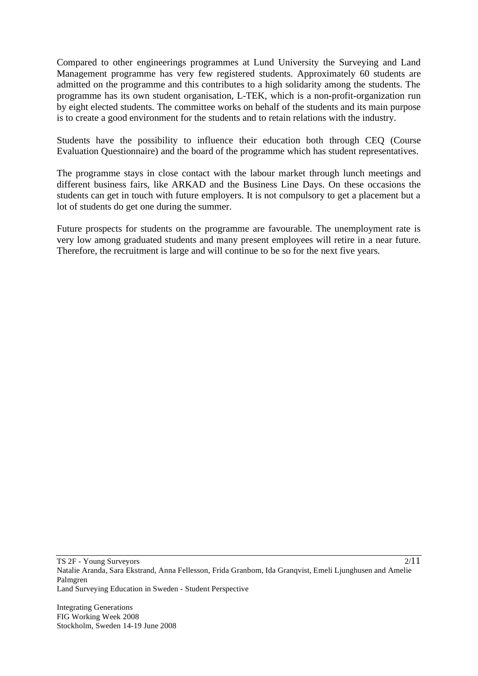Compared to other engineerings programmes at Lund University the Surveying and Land Management programme has very few registered students. Approximately 60 students are admitted on the programme and this contributes to a high solidarity among the students. The programme has its own student organisation, L-TEK, which is a non-profit-organization run by eight elected students. The committee works on behalf of the students and its main purpose is to create a good environment for the students and to retain relations with the industry.

Students have the possibility to influence their education both through CEQ (Course Evaluation Questionnaire) and the board of the programme which has student representatives.

The programme stays in close contact with the labour market through lunch meetings and different business fairs, like ARKAD and the Business Line Days. On these occasions the students can get in touch with future employers. It is not compulsory to get a placement but a lot of students do get one during the summer.

Future prospects for students on the programme are favourable. The unemployment rate is very low among graduated students and many present employees will retire in a near future. Therefore, the recruitment is large and will continue to be so for the next five years.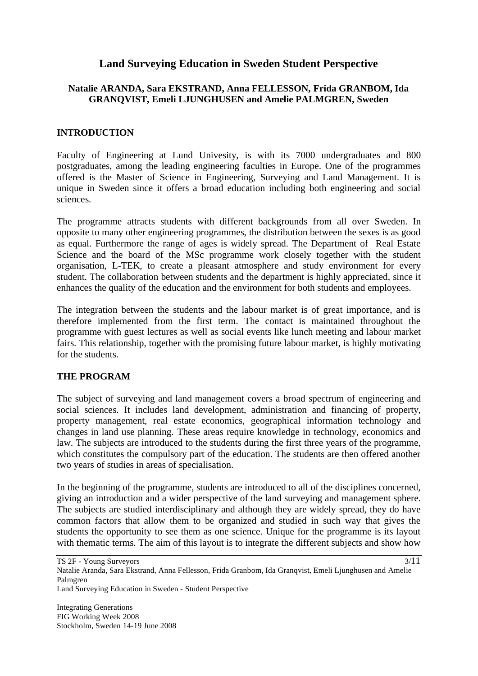# **Land Surveying Education in Sweden Student Perspective**

# **Natalie ARANDA, Sara EKSTRAND, Anna FELLESSON, Frida GRANBOM, Ida GRANQVIST, Emeli LJUNGHUSEN and Amelie PALMGREN, Sweden**

### **INTRODUCTION**

Faculty of Engineering at Lund Univesity, is with its 7000 undergraduates and 800 postgraduates, among the leading engineering faculties in Europe. One of the programmes offered is the Master of Science in Engineering, Surveying and Land Management. It is unique in Sweden since it offers a broad education including both engineering and social sciences.

The programme attracts students with different backgrounds from all over Sweden. In opposite to many other engineering programmes, the distribution between the sexes is as good as equal. Furthermore the range of ages is widely spread. The Department of Real Estate Science and the board of the MSc programme work closely together with the student organisation, L-TEK, to create a pleasant atmosphere and study environment for every student. The collaboration between students and the department is highly appreciated, since it enhances the quality of the education and the environment for both students and employees.

The integration between the students and the labour market is of great importance, and is therefore implemented from the first term. The contact is maintained throughout the programme with guest lectures as well as social events like lunch meeting and labour market fairs. This relationship, together with the promising future labour market, is highly motivating for the students.

# **THE PROGRAM**

The subject of surveying and land management covers a broad spectrum of engineering and social sciences. It includes land development, administration and financing of property, property management, real estate economics, geographical information technology and changes in land use planning. These areas require knowledge in technology, economics and law. The subjects are introduced to the students during the first three years of the programme, which constitutes the compulsory part of the education. The students are then offered another two years of studies in areas of specialisation.

In the beginning of the programme, students are introduced to all of the disciplines concerned, giving an introduction and a wider perspective of the land surveying and management sphere. The subjects are studied interdisciplinary and although they are widely spread, they do have common factors that allow them to be organized and studied in such way that gives the students the opportunity to see them as one science. Unique for the programme is its layout with thematic terms. The aim of this layout is to integrate the different subjects and show how

TS 2F - Young Surveyors

Natalie Aranda, Sara Ekstrand, Anna Fellesson, Frida Granbom, Ida Granqvist, Emeli Ljunghusen and Amelie Palmgren

Land Surveying Education in Sweden - Student Perspective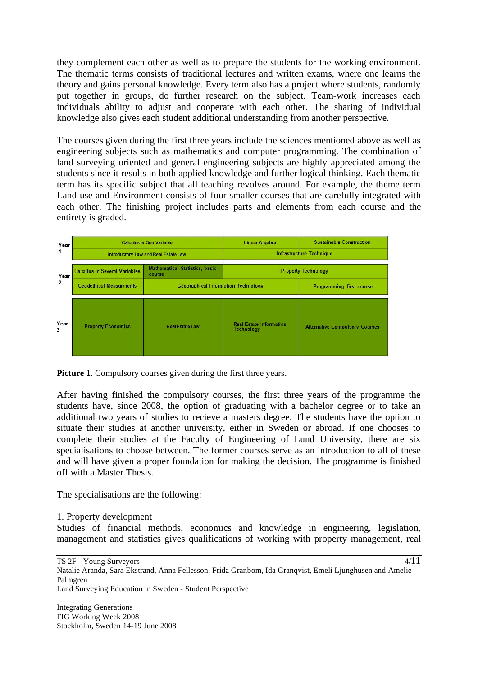they complement each other as well as to prepare the students for the working environment. The thematic terms consists of traditional lectures and written exams, where one learns the theory and gains personal knowledge. Every term also has a project where students, randomly put together in groups, do further research on the subject. Team-work increases each individuals ability to adjust and cooperate with each other. The sharing of individual knowledge also gives each student additional understanding from another perspective.

The courses given during the first three years include the sciences mentioned above as well as engineering subjects such as mathematics and computer programming. The combination of land surveying oriented and general engineering subjects are highly appreciated among the students since it results in both applied knowledge and further logical thinking. Each thematic term has its specific subject that all teaching revolves around. For example, the theme term Land use and Environment consists of four smaller courses that are carefully integrated with each other. The finishing project includes parts and elements from each course and the entirety is graded.

| Year                   | <b>Calculus in One Variable</b><br>Introductory Law and Real Estate Law                                                                                                 |                        | <b>Linear Algebra</b>                                   | <b>Sustainable Construction</b><br><b>Infrastructure Technique</b> |
|------------------------|-------------------------------------------------------------------------------------------------------------------------------------------------------------------------|------------------------|---------------------------------------------------------|--------------------------------------------------------------------|
| Year<br>$\overline{2}$ | <b>Mathematical Statistics, basic</b><br><b>Calculus in Several Variables</b><br>course<br><b>Geodethical Measurments</b><br><b>Geographical Information Technology</b> |                        | <b>Property Technology</b><br>Programming, first course |                                                                    |
| Year<br>3              | <b>Property Economics</b>                                                                                                                                               | <b>Real Estate Law</b> | <b>Real Estate Information</b><br><b>Technology</b>     | <b>Alternative Compulsory Courses</b>                              |

**Picture 1**. Compulsory courses given during the first three years.

After having finished the compulsory courses, the first three years of the programme the students have, since 2008, the option of graduating with a bachelor degree or to take an additional two years of studies to recieve a masters degree. The students have the option to situate their studies at another university, either in Sweden or abroad. If one chooses to complete their studies at the Faculty of Engineering of Lund University, there are six specialisations to choose between. The former courses serve as an introduction to all of these and will have given a proper foundation for making the decision. The programme is finished off with a Master Thesis.

The specialisations are the following:

1. Property development

Studies of financial methods, economics and knowledge in engineering, legislation, management and statistics gives qualifications of working with property management, real

TS 2F - Young Surveyors Natalie Aranda, Sara Ekstrand, Anna Fellesson, Frida Granbom, Ida Granqvist, Emeli Ljunghusen and Amelie Palmgren Land Surveying Education in Sweden - Student Perspective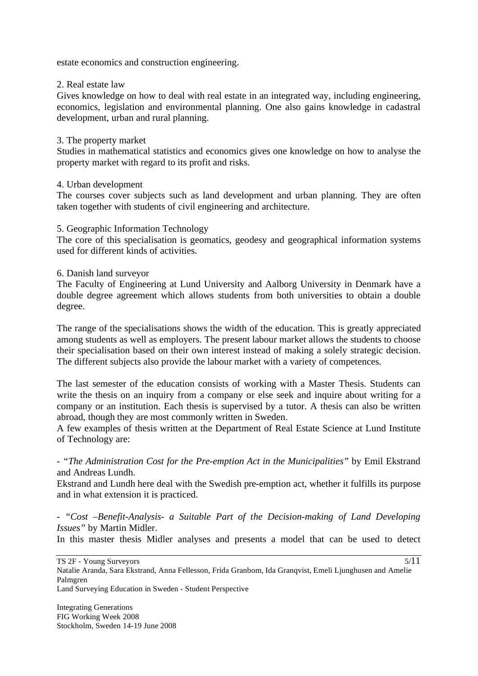estate economics and construction engineering.

### 2. Real estate law

Gives knowledge on how to deal with real estate in an integrated way, including engineering, economics, legislation and environmental planning. One also gains knowledge in cadastral development, urban and rural planning.

#### 3. The property market

Studies in mathematical statistics and economics gives one knowledge on how to analyse the property market with regard to its profit and risks.

#### 4. Urban development

The courses cover subjects such as land development and urban planning. They are often taken together with students of civil engineering and architecture.

#### 5. Geographic Information Technology

The core of this specialisation is geomatics, geodesy and geographical information systems used for different kinds of activities.

#### 6. Danish land surveyor

The Faculty of Engineering at Lund University and Aalborg University in Denmark have a double degree agreement which allows students from both universities to obtain a double degree.

The range of the specialisations shows the width of the education. This is greatly appreciated among students as well as employers. The present labour market allows the students to choose their specialisation based on their own interest instead of making a solely strategic decision. The different subjects also provide the labour market with a variety of competences.

The last semester of the education consists of working with a Master Thesis. Students can write the thesis on an inquiry from a company or else seek and inquire about writing for a company or an institution. Each thesis is supervised by a tutor. A thesis can also be written abroad, though they are most commonly written in Sweden.

A few examples of thesis written at the Department of Real Estate Science at Lund Institute of Technology are:

*- "The Administration Cost for the Pre-emption Act in the Municipalities"* by Emil Ekstrand and Andreas Lundh.

Ekstrand and Lundh here deal with the Swedish pre-emption act, whether it fulfills its purpose and in what extension it is practiced.

*- "Cost –Benefit-Analysis- a Suitable Part of the Decision-making of Land Developing Issues"* by Martin Midler.

In this master thesis Midler analyses and presents a model that can be used to detect

5/11

Natalie Aranda, Sara Ekstrand, Anna Fellesson, Frida Granbom, Ida Granqvist, Emeli Ljunghusen and Amelie Palmgren Land Surveying Education in Sweden - Student Perspective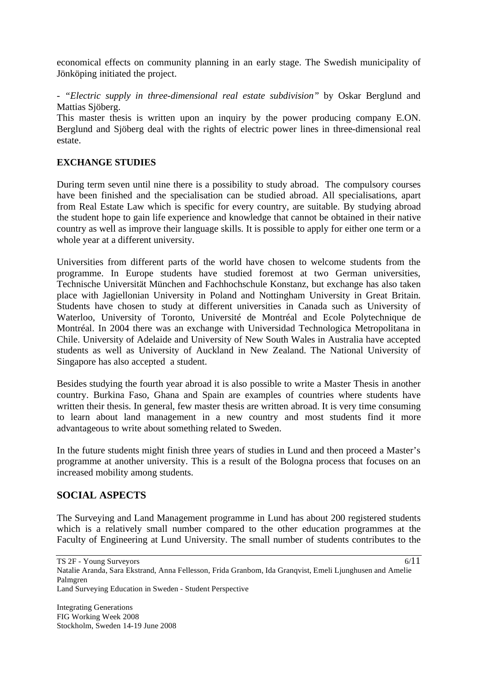economical effects on community planning in an early stage. The Swedish municipality of Jönköping initiated the project.

*- "Electric supply in three-dimensional real estate subdivision"* by Oskar Berglund and Mattias Sjöberg.

This master thesis is written upon an inquiry by the power producing company E.ON. Berglund and Sjöberg deal with the rights of electric power lines in three-dimensional real estate.

### **EXCHANGE STUDIES**

During term seven until nine there is a possibility to study abroad. The compulsory courses have been finished and the specialisation can be studied abroad. All specialisations, apart from Real Estate Law which is specific for every country, are suitable. By studying abroad the student hope to gain life experience and knowledge that cannot be obtained in their native country as well as improve their language skills. It is possible to apply for either one term or a whole year at a different university.

Universities from different parts of the world have chosen to welcome students from the programme. In Europe students have studied foremost at two German universities, Technische Universität München and Fachhochschule Konstanz, but exchange has also taken place with Jagiellonian University in Poland and Nottingham University in Great Britain. Students have chosen to study at different universities in Canada such as University of Waterloo, University of Toronto, Université de Montréal and Ecole Polytechnique de Montréal. In 2004 there was an exchange with Universidad Technologica Metropolitana in Chile. University of Adelaide and University of New South Wales in Australia have accepted students as well as University of Auckland in New Zealand. The National University of Singapore has also accepted a student.

Besides studying the fourth year abroad it is also possible to write a Master Thesis in another country. Burkina Faso, Ghana and Spain are examples of countries where students have written their thesis. In general, few master thesis are written abroad. It is very time consuming to learn about land management in a new country and most students find it more advantageous to write about something related to Sweden.

In the future students might finish three years of studies in Lund and then proceed a Master's programme at another university. This is a result of the Bologna process that focuses on an increased mobility among students.

# **SOCIAL ASPECTS**

The Surveying and Land Management programme in Lund has about 200 registered students which is a relatively small number compared to the other education programmes at the Faculty of Engineering at Lund University. The small number of students contributes to the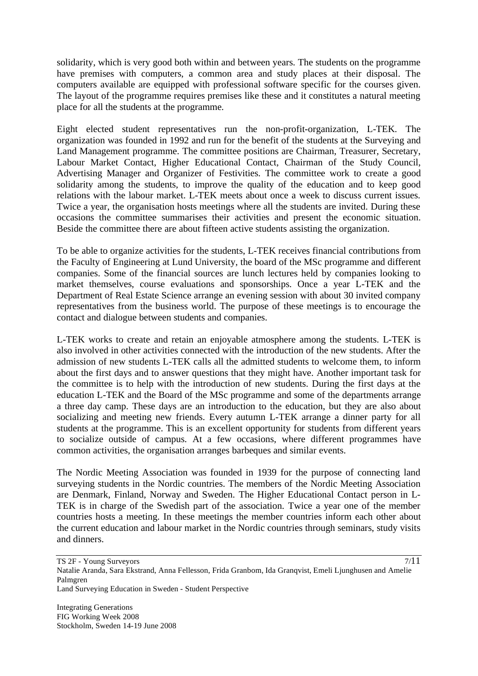solidarity, which is very good both within and between years. The students on the programme have premises with computers, a common area and study places at their disposal. The computers available are equipped with professional software specific for the courses given. The layout of the programme requires premises like these and it constitutes a natural meeting place for all the students at the programme.

Eight elected student representatives run the non-profit-organization, L-TEK. The organization was founded in 1992 and run for the benefit of the students at the Surveying and Land Management programme. The committee positions are Chairman, Treasurer, Secretary, Labour Market Contact, Higher Educational Contact, Chairman of the Study Council, Advertising Manager and Organizer of Festivities. The committee work to create a good solidarity among the students, to improve the quality of the education and to keep good relations with the labour market. L-TEK meets about once a week to discuss current issues. Twice a year, the organisation hosts meetings where all the students are invited. During these occasions the committee summarises their activities and present the economic situation. Beside the committee there are about fifteen active students assisting the organization.

To be able to organize activities for the students, L-TEK receives financial contributions from the Faculty of Engineering at Lund University, the board of the MSc programme and different companies. Some of the financial sources are lunch lectures held by companies looking to market themselves, course evaluations and sponsorships. Once a year L-TEK and the Department of Real Estate Science arrange an evening session with about 30 invited company representatives from the business world. The purpose of these meetings is to encourage the contact and dialogue between students and companies.

L-TEK works to create and retain an enjoyable atmosphere among the students. L-TEK is also involved in other activities connected with the introduction of the new students. After the admission of new students L-TEK calls all the admitted students to welcome them, to inform about the first days and to answer questions that they might have. Another important task for the committee is to help with the introduction of new students. During the first days at the education L-TEK and the Board of the MSc programme and some of the departments arrange a three day camp. These days are an introduction to the education, but they are also about socializing and meeting new friends. Every autumn L-TEK arrange a dinner party for all students at the programme. This is an excellent opportunity for students from different years to socialize outside of campus. At a few occasions, where different programmes have common activities, the organisation arranges barbeques and similar events.

The Nordic Meeting Association was founded in 1939 for the purpose of connecting land surveying students in the Nordic countries. The members of the Nordic Meeting Association are Denmark, Finland, Norway and Sweden. The Higher Educational Contact person in L-TEK is in charge of the Swedish part of the association. Twice a year one of the member countries hosts a meeting. In these meetings the member countries inform each other about the current education and labour market in the Nordic countries through seminars, study visits and dinners.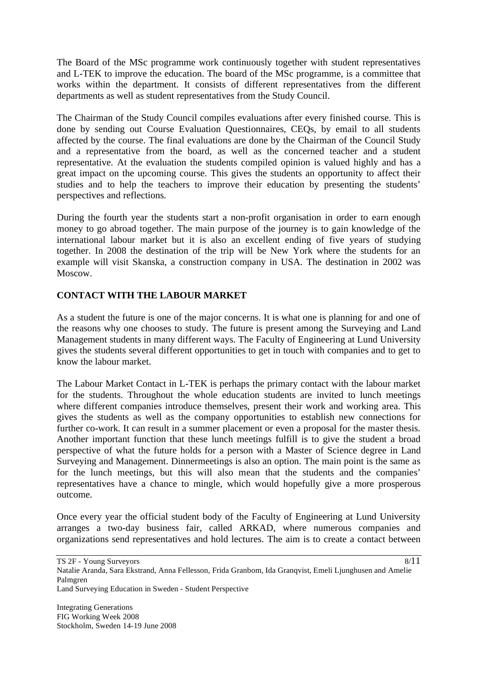The Board of the MSc programme work continuously together with student representatives and L-TEK to improve the education. The board of the MSc programme, is a committee that works within the department. It consists of different representatives from the different departments as well as student representatives from the Study Council.

The Chairman of the Study Council compiles evaluations after every finished course. This is done by sending out Course Evaluation Questionnaires, CEQs, by email to all students affected by the course. The final evaluations are done by the Chairman of the Council Study and a representative from the board, as well as the concerned teacher and a student representative. At the evaluation the students compiled opinion is valued highly and has a great impact on the upcoming course. This gives the students an opportunity to affect their studies and to help the teachers to improve their education by presenting the students' perspectives and reflections.

During the fourth year the students start a non-profit organisation in order to earn enough money to go abroad together. The main purpose of the journey is to gain knowledge of the international labour market but it is also an excellent ending of five years of studying together. In 2008 the destination of the trip will be New York where the students for an example will visit Skanska, a construction company in USA. The destination in 2002 was Moscow.

# **CONTACT WITH THE LABOUR MARKET**

As a student the future is one of the major concerns. It is what one is planning for and one of the reasons why one chooses to study. The future is present among the Surveying and Land Management students in many different ways. The Faculty of Engineering at Lund University gives the students several different opportunities to get in touch with companies and to get to know the labour market.

The Labour Market Contact in L-TEK is perhaps the primary contact with the labour market for the students. Throughout the whole education students are invited to lunch meetings where different companies introduce themselves, present their work and working area. This gives the students as well as the company opportunities to establish new connections for further co-work. It can result in a summer placement or even a proposal for the master thesis. Another important function that these lunch meetings fulfill is to give the student a broad perspective of what the future holds for a person with a Master of Science degree in Land Surveying and Management. Dinnermeetings is also an option. The main point is the same as for the lunch meetings, but this will also mean that the students and the companies' representatives have a chance to mingle, which would hopefully give a more prosperous outcome.

Once every year the official student body of the Faculty of Engineering at Lund University arranges a two-day business fair, called ARKAD, where numerous companies and organizations send representatives and hold lectures. The aim is to create a contact between

Land Surveying Education in Sweden - Student Perspective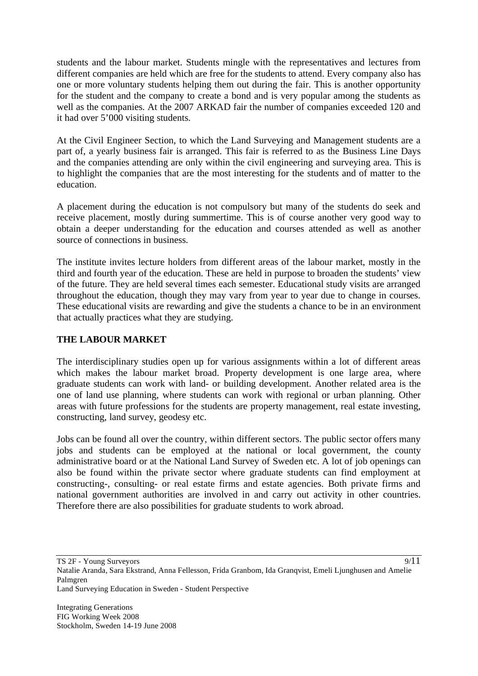students and the labour market. Students mingle with the representatives and lectures from different companies are held which are free for the students to attend. Every company also has one or more voluntary students helping them out during the fair. This is another opportunity for the student and the company to create a bond and is very popular among the students as well as the companies. At the 2007 ARKAD fair the number of companies exceeded 120 and it had over 5'000 visiting students.

At the Civil Engineer Section, to which the Land Surveying and Management students are a part of, a yearly business fair is arranged. This fair is referred to as the Business Line Days and the companies attending are only within the civil engineering and surveying area. This is to highlight the companies that are the most interesting for the students and of matter to the education.

A placement during the education is not compulsory but many of the students do seek and receive placement, mostly during summertime. This is of course another very good way to obtain a deeper understanding for the education and courses attended as well as another source of connections in business.

The institute invites lecture holders from different areas of the labour market, mostly in the third and fourth year of the education. These are held in purpose to broaden the students' view of the future. They are held several times each semester. Educational study visits are arranged throughout the education, though they may vary from year to year due to change in courses. These educational visits are rewarding and give the students a chance to be in an environment that actually practices what they are studying.

# **THE LABOUR MARKET**

The interdisciplinary studies open up for various assignments within a lot of different areas which makes the labour market broad. Property development is one large area, where graduate students can work with land- or building development. Another related area is the one of land use planning, where students can work with regional or urban planning. Other areas with future professions for the students are property management, real estate investing, constructing, land survey, geodesy etc.

Jobs can be found all over the country, within different sectors. The public sector offers many jobs and students can be employed at the national or local government, the county administrative board or at the National Land Survey of Sweden etc. A lot of job openings can also be found within the private sector where graduate students can find employment at constructing-, consulting- or real estate firms and estate agencies. Both private firms and national government authorities are involved in and carry out activity in other countries. Therefore there are also possibilities for graduate students to work abroad.

TS 2F - Young Surveyors

Land Surveying Education in Sweden - Student Perspective

Natalie Aranda, Sara Ekstrand, Anna Fellesson, Frida Granbom, Ida Granqvist, Emeli Ljunghusen and Amelie Palmgren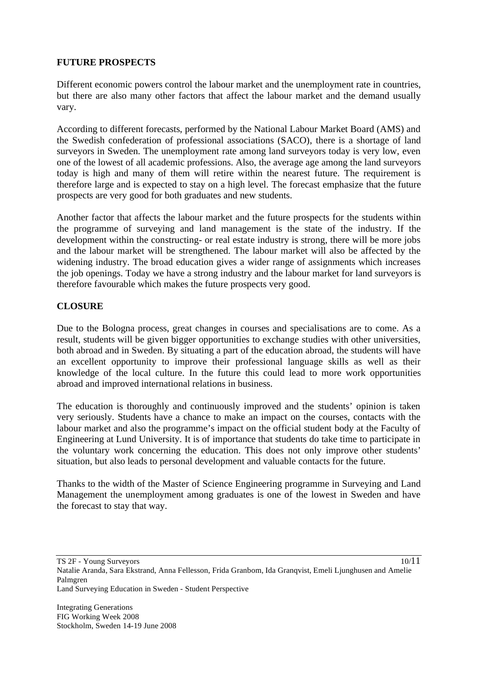# **FUTURE PROSPECTS**

Different economic powers control the labour market and the unemployment rate in countries, but there are also many other factors that affect the labour market and the demand usually vary.

According to different forecasts, performed by the National Labour Market Board (AMS) and the Swedish confederation of professional associations (SACO), there is a shortage of land surveyors in Sweden. The unemployment rate among land surveyors today is very low, even one of the lowest of all academic professions. Also, the average age among the land surveyors today is high and many of them will retire within the nearest future. The requirement is therefore large and is expected to stay on a high level. The forecast emphasize that the future prospects are very good for both graduates and new students.

Another factor that affects the labour market and the future prospects for the students within the programme of surveying and land management is the state of the industry. If the development within the constructing- or real estate industry is strong, there will be more jobs and the labour market will be strengthened. The labour market will also be affected by the widening industry. The broad education gives a wider range of assignments which increases the job openings. Today we have a strong industry and the labour market for land surveyors is therefore favourable which makes the future prospects very good.

### **CLOSURE**

Due to the Bologna process, great changes in courses and specialisations are to come. As a result, students will be given bigger opportunities to exchange studies with other universities, both abroad and in Sweden. By situating a part of the education abroad, the students will have an excellent opportunity to improve their professional language skills as well as their knowledge of the local culture. In the future this could lead to more work opportunities abroad and improved international relations in business.

The education is thoroughly and continuously improved and the students' opinion is taken very seriously. Students have a chance to make an impact on the courses, contacts with the labour market and also the programme's impact on the official student body at the Faculty of Engineering at Lund University. It is of importance that students do take time to participate in the voluntary work concerning the education. This does not only improve other students' situation, but also leads to personal development and valuable contacts for the future.

Thanks to the width of the Master of Science Engineering programme in Surveying and Land Management the unemployment among graduates is one of the lowest in Sweden and have the forecast to stay that way.

TS 2F - Young Surveyors

10/11

Natalie Aranda, Sara Ekstrand, Anna Fellesson, Frida Granbom, Ida Granqvist, Emeli Ljunghusen and Amelie Palmgren Land Surveying Education in Sweden - Student Perspective